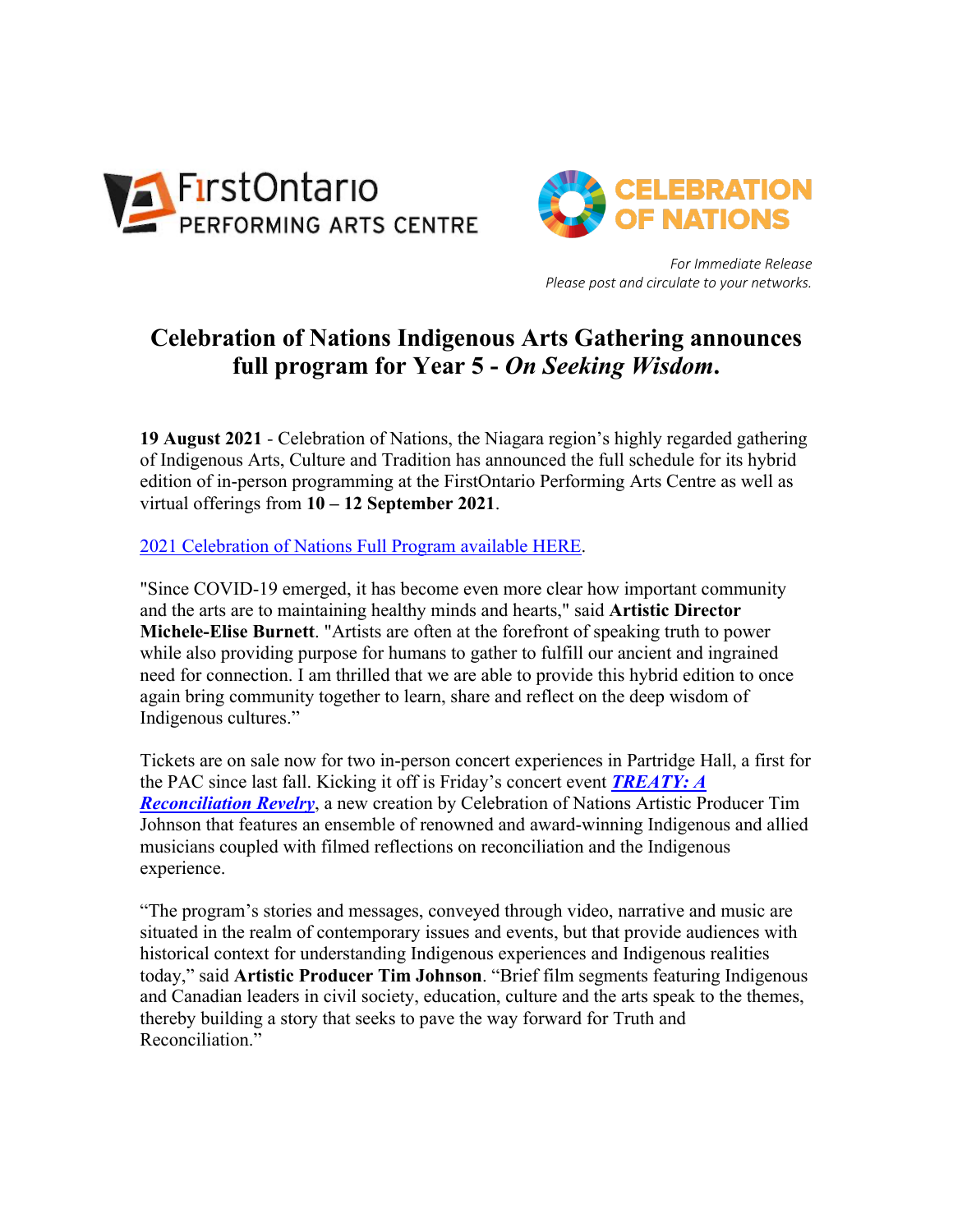



*For Immediate Release Please post and circulate to your networks.*

# **Celebration of Nations Indigenous Arts Gathering announces full program for Year 5 -** *On Seeking Wisdom***.**

**19 August 2021** - Celebration of Nations, the Niagara region's highly regarded gathering of Indigenous Arts, Culture and Tradition has announced the full schedule for its hybrid edition of in-person programming at the FirstOntario Performing Arts Centre as well as virtual offerings from **10 – 12 September 2021**.

2021 Celebration of Nations Full Program available HERE.

"Since COVID-19 emerged, it has become even more clear how important community and the arts are to maintaining healthy minds and hearts," said **Artistic Director Michele-Elise Burnett**. "Artists are often at the forefront of speaking truth to power while also providing purpose for humans to gather to fulfill our ancient and ingrained need for connection. I am thrilled that we are able to provide this hybrid edition to once again bring community together to learn, share and reflect on the deep wisdom of Indigenous cultures."

Tickets are on sale now for two in-person concert experiences in Partridge Hall, a first for the PAC since last fall. Kicking it off is Friday's concert event *TREATY: A Reconciliation Revelry*, a new creation by Celebration of Nations Artistic Producer Tim Johnson that features an ensemble of renowned and award-winning Indigenous and allied musicians coupled with filmed reflections on reconciliation and the Indigenous experience.

"The program's stories and messages, conveyed through video, narrative and music are situated in the realm of contemporary issues and events, but that provide audiences with historical context for understanding Indigenous experiences and Indigenous realities today," said **Artistic Producer Tim Johnson**. "Brief film segments featuring Indigenous and Canadian leaders in civil society, education, culture and the arts speak to the themes, thereby building a story that seeks to pave the way forward for Truth and Reconciliation."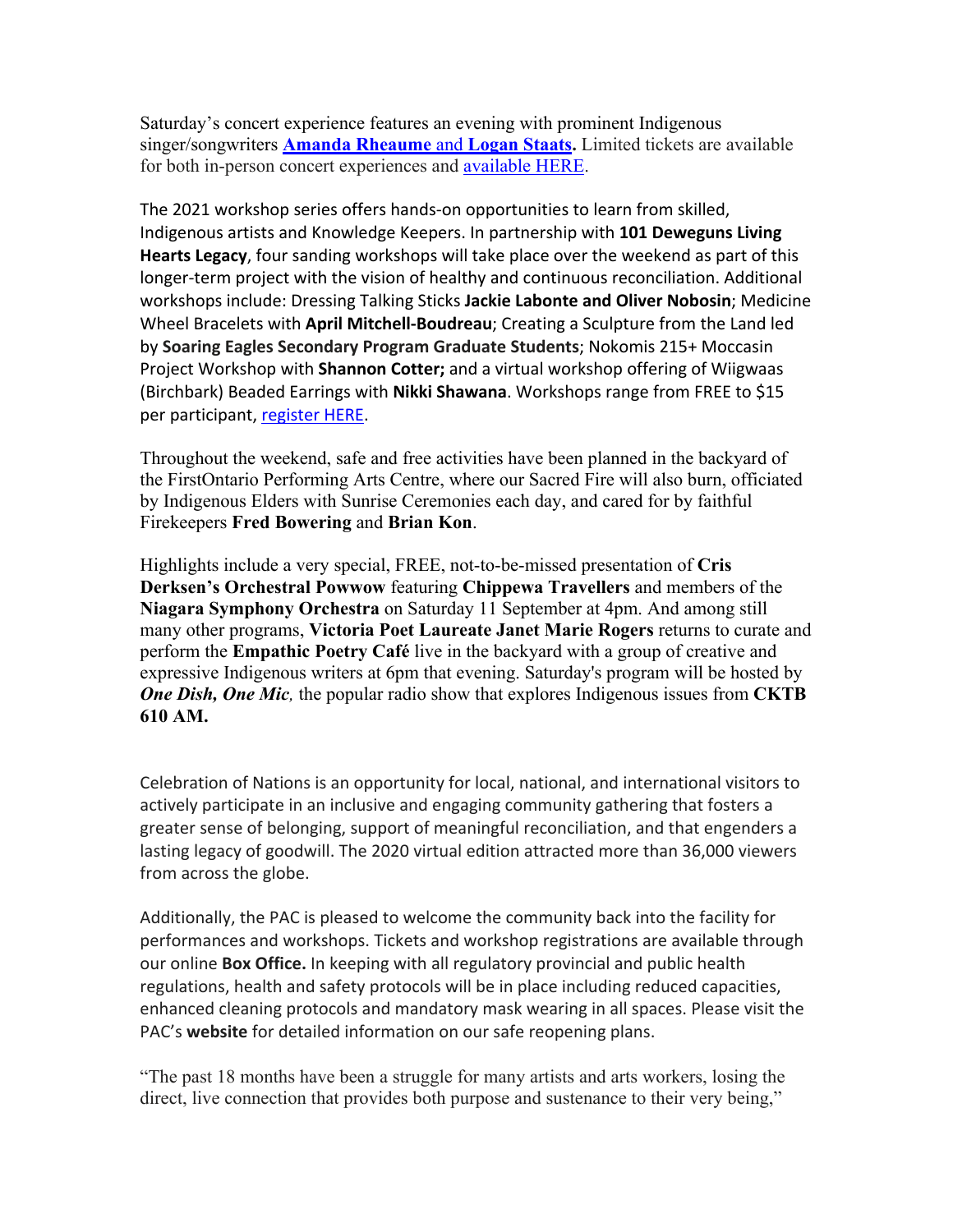Saturday's concert experience features an evening with prominent Indigenous singer/songwriters **Amanda Rheaume** and **Logan Staats.** Limited tickets are available for both in-person concert experiences and available HERE.

The 2021 workshop series offers hands-on opportunities to learn from skilled, Indigenous artists and Knowledge Keepers. In partnership with **101 Deweguns Living Hearts Legacy**, four sanding workshops will take place over the weekend as part of this longer-term project with the vision of healthy and continuous reconciliation. Additional workshops include: Dressing Talking Sticks **Jackie Labonte and Oliver Nobosin**; Medicine Wheel Bracelets with **April Mitchell-Boudreau**; Creating a Sculpture from the Land led by **Soaring Eagles Secondary Program Graduate Students**; Nokomis 215+ Moccasin Project Workshop with **Shannon Cotter;** and a virtual workshop offering of Wiigwaas (Birchbark) Beaded Earrings with **Nikki Shawana**. Workshops range from FREE to \$15 per participant, register HERE.

Throughout the weekend, safe and free activities have been planned in the backyard of the FirstOntario Performing Arts Centre, where our Sacred Fire will also burn, officiated by Indigenous Elders with Sunrise Ceremonies each day, and cared for by faithful Firekeepers **Fred Bowering** and **Brian Kon**.

Highlights include a very special, FREE, not-to-be-missed presentation of **Cris Derksen's Orchestral Powwow** featuring **Chippewa Travellers** and members of the **Niagara Symphony Orchestra** on Saturday 11 September at 4pm. And among still many other programs, **Victoria Poet Laureate Janet Marie Rogers** returns to curate and perform the **Empathic Poetry Café** live in the backyard with a group of creative and expressive Indigenous writers at 6pm that evening. Saturday's program will be hosted by *One Dish, One Mic,* the popular radio show that explores Indigenous issues from **CKTB 610 AM.**

Celebration of Nations is an opportunity for local, national, and international visitors to actively participate in an inclusive and engaging community gathering that fosters a greater sense of belonging, support of meaningful reconciliation, and that engenders a lasting legacy of goodwill. The 2020 virtual edition attracted more than 36,000 viewers from across the globe.

Additionally, the PAC is pleased to welcome the community back into the facility for performances and workshops. Tickets and workshop registrations are available through our online **Box Office.** In keeping with all regulatory provincial and public health regulations, health and safety protocols will be in place including reduced capacities, enhanced cleaning protocols and mandatory mask wearing in all spaces. Please visit the PAC's **website** for detailed information on our safe reopening plans.

"The past 18 months have been a struggle for many artists and arts workers, losing the direct, live connection that provides both purpose and sustenance to their very being,"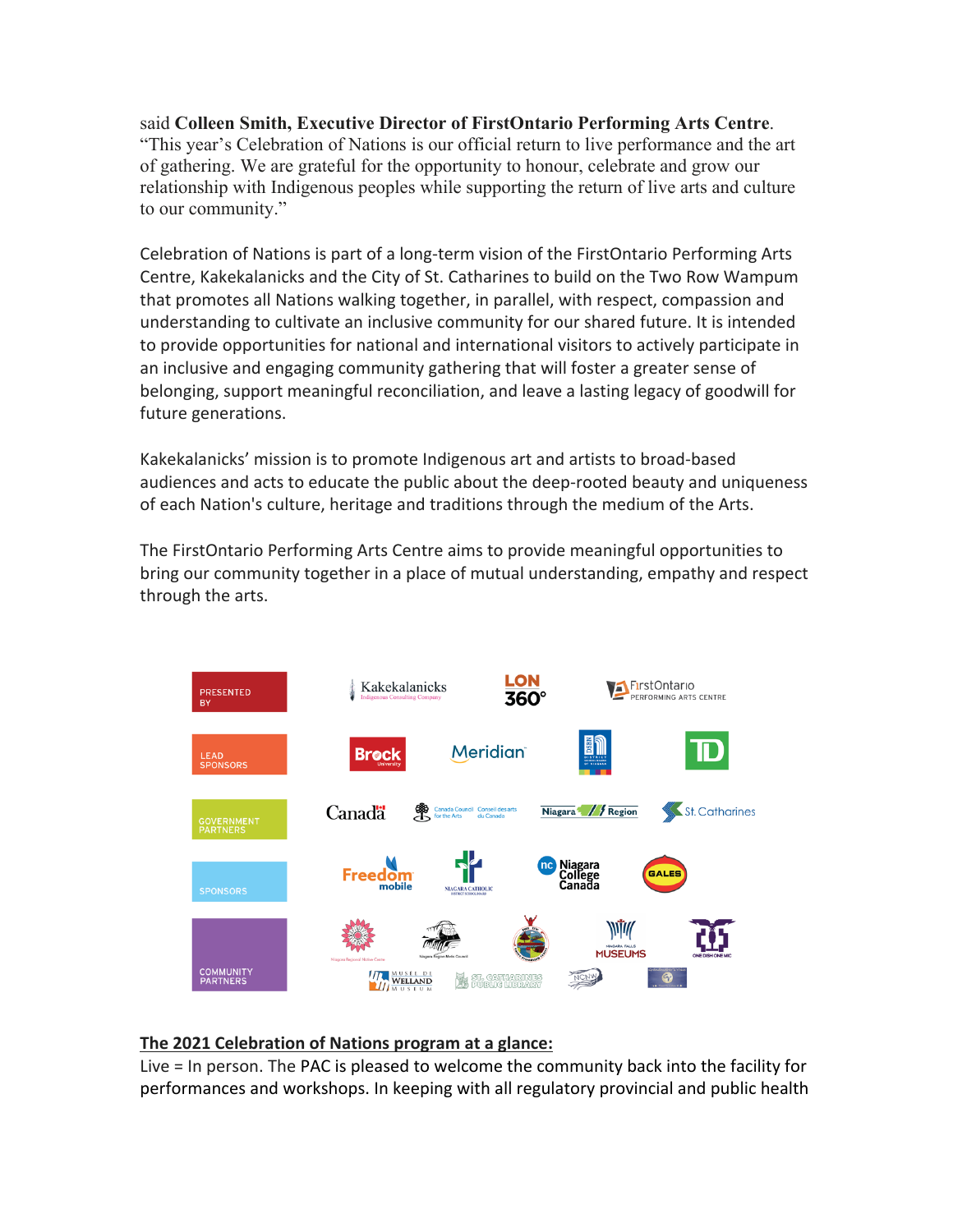said **Colleen Smith, Executive Director of FirstOntario Performing Arts Centre**. "This year's Celebration of Nations is our official return to live performance and the art of gathering. We are grateful for the opportunity to honour, celebrate and grow our relationship with Indigenous peoples while supporting the return of live arts and culture to our community."

Celebration of Nations is part of a long-term vision of the FirstOntario Performing Arts Centre, Kakekalanicks and the City of St. Catharines to build on the Two Row Wampum that promotes all Nations walking together, in parallel, with respect, compassion and understanding to cultivate an inclusive community for our shared future. It is intended to provide opportunities for national and international visitors to actively participate in an inclusive and engaging community gathering that will foster a greater sense of belonging, support meaningful reconciliation, and leave a lasting legacy of goodwill for future generations.

Kakekalanicks' mission is to promote Indigenous art and artists to broad-based audiences and acts to educate the public about the deep-rooted beauty and uniqueness of each Nation's culture, heritage and traditions through the medium of the Arts.

The FirstOntario Performing Arts Centre aims to provide meaningful opportunities to bring our community together in a place of mutual understanding, empathy and respect through the arts.



# **The 2021 Celebration of Nations program at a glance:**

Live = In person. The PAC is pleased to welcome the community back into the facility for performances and workshops. In keeping with all regulatory provincial and public health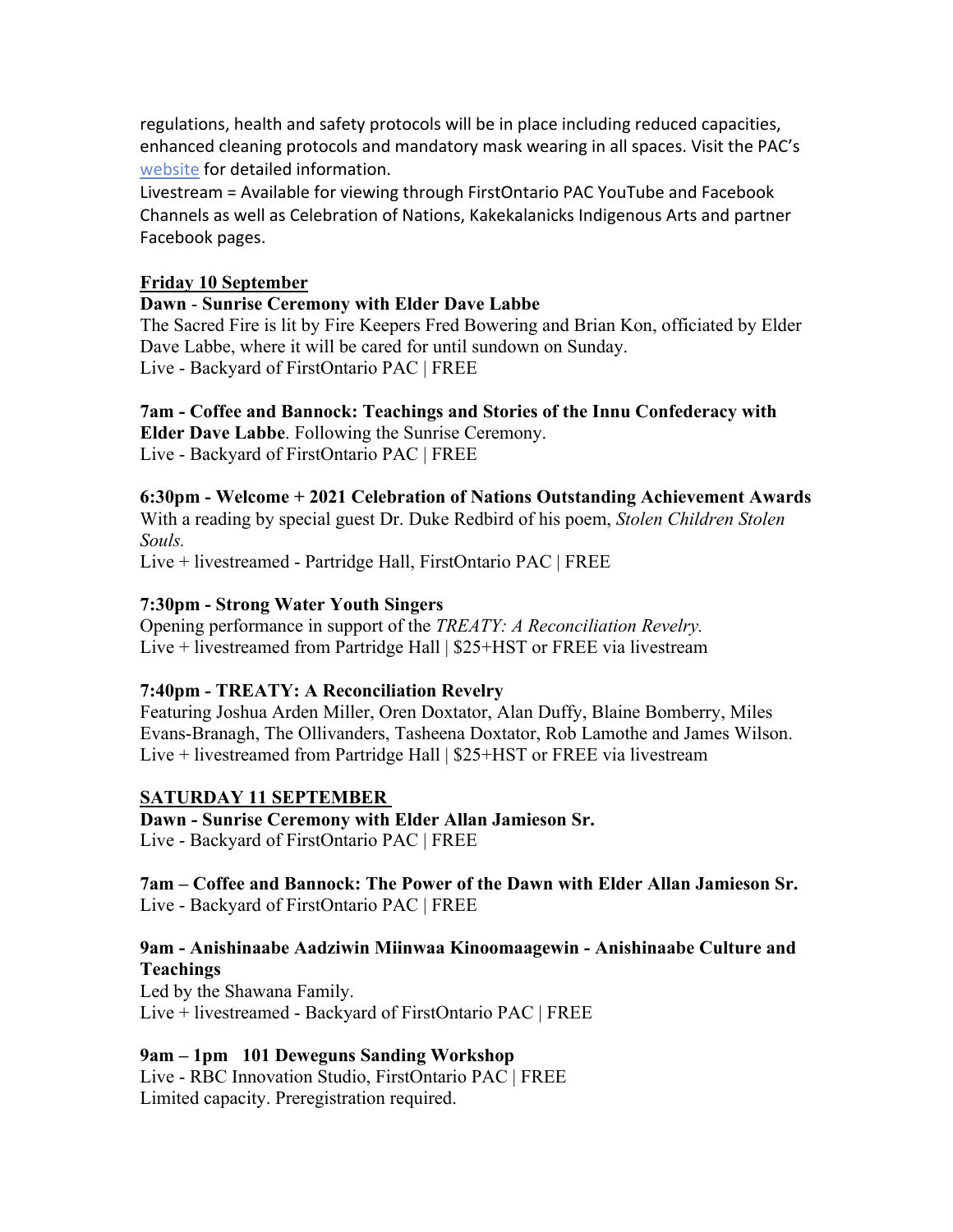regulations, health and safety protocols will be in place including reduced capacities, enhanced cleaning protocols and mandatory mask wearing in all spaces. Visit the PAC's website for detailed information.

Livestream = Available for viewing through FirstOntario PAC YouTube and Facebook Channels as well as Celebration of Nations, Kakekalanicks Indigenous Arts and partner Facebook pages.

#### **Friday 10 September**

#### **Dawn** - **Sunrise Ceremony with Elder Dave Labbe**

The Sacred Fire is lit by Fire Keepers Fred Bowering and Brian Kon, officiated by Elder Dave Labbe, where it will be cared for until sundown on Sunday. Live - Backyard of FirstOntario PAC | FREE

**7am - Coffee and Bannock: Teachings and Stories of the Innu Confederacy with** 

**Elder Dave Labbe**. Following the Sunrise Ceremony. Live - Backyard of FirstOntario PAC | FREE

# **6:30pm - Welcome + 2021 Celebration of Nations Outstanding Achievement Awards**

With a reading by special guest Dr. Duke Redbird of his poem, *Stolen Children Stolen Souls.*

Live + livestreamed - Partridge Hall, FirstOntario PAC | FREE

# **7:30pm - Strong Water Youth Singers**

Opening performance in support of the *TREATY: A Reconciliation Revelry.* Live + livestreamed from Partridge Hall | \$25+HST or FREE via livestream

# **7:40pm** *-* **TREATY: A Reconciliation Revelry**

Featuring Joshua Arden Miller, Oren Doxtator, Alan Duffy, Blaine Bomberry, Miles Evans-Branagh, The Ollivanders, Tasheena Doxtator, Rob Lamothe and James Wilson. Live + livestreamed from Partridge Hall | \$25+HST or FREE via livestream

# **SATURDAY 11 SEPTEMBER**

**Dawn - Sunrise Ceremony with Elder Allan Jamieson Sr.** Live - Backyard of FirstOntario PAC | FREE

**7am – Coffee and Bannock: The Power of the Dawn with Elder Allan Jamieson Sr.** Live - Backyard of FirstOntario PAC | FREE

# **9am - Anishinaabe Aadziwin Miinwaa Kinoomaagewin - Anishinaabe Culture and Teachings**

Led by the Shawana Family. Live + livestreamed - Backyard of FirstOntario PAC | FREE

# **9am – 1pm 101 Deweguns Sanding Workshop**

Live - RBC Innovation Studio, FirstOntario PAC | FREE Limited capacity. Preregistration required.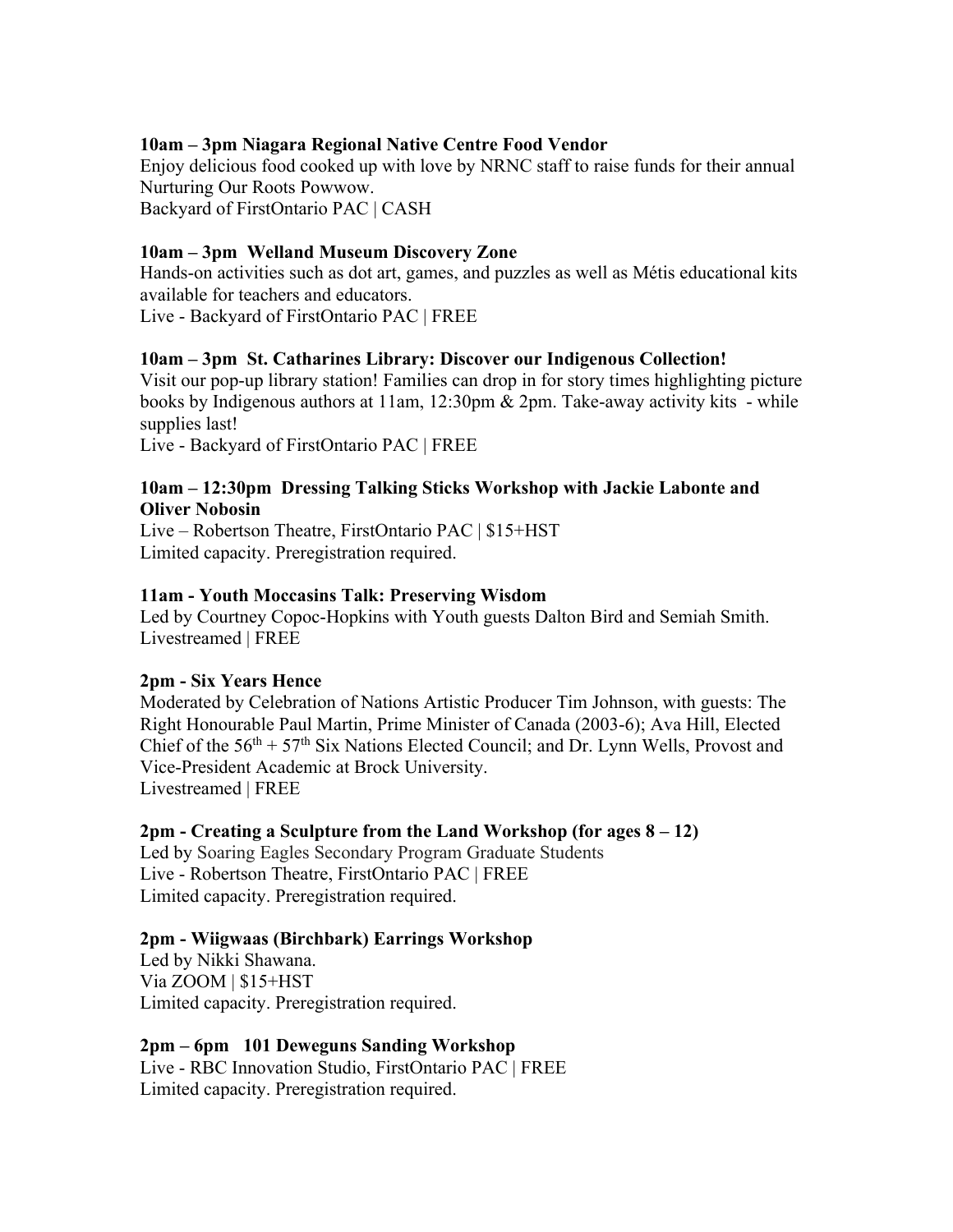#### **10am – 3pm Niagara Regional Native Centre Food Vendor**

Enjoy delicious food cooked up with love by NRNC staff to raise funds for their annual Nurturing Our Roots Powwow. Backyard of FirstOntario PAC | CASH

#### **10am – 3pm Welland Museum Discovery Zone**

Hands-on activities such as dot art, games, and puzzles as well as Métis educational kits available for teachers and educators.

Live - Backyard of FirstOntario PAC | FREE

#### **10am – 3pm St. Catharines Library: Discover our Indigenous Collection!**

Visit our pop-up library station! Families can drop in for story times highlighting picture books by Indigenous authors at 11am, 12:30pm & 2pm. Take-away activity kits - while supplies last!

Live - Backyard of FirstOntario PAC | FREE

#### **10am – 12:30pm Dressing Talking Sticks Workshop with Jackie Labonte and Oliver Nobosin**

Live – Robertson Theatre, FirstOntario PAC | \$15+HST Limited capacity. Preregistration required.

#### **11am - Youth Moccasins Talk: Preserving Wisdom**

Led by Courtney Copoc-Hopkins with Youth guests Dalton Bird and Semiah Smith. Livestreamed | FREE

#### **2pm - Six Years Hence**

Moderated by Celebration of Nations Artistic Producer Tim Johnson, with guests: The Right Honourable Paul Martin, Prime Minister of Canada (2003-6); Ava Hill, Elected Chief of the  $56<sup>th</sup> + 57<sup>th</sup>$  Six Nations Elected Council; and Dr. Lynn Wells, Provost and Vice-President Academic at Brock University. Livestreamed | FREE

#### **2pm - Creating a Sculpture from the Land Workshop (for ages 8 – 12)**

Led by Soaring Eagles Secondary Program Graduate Students Live - Robertson Theatre, FirstOntario PAC | FREE Limited capacity. Preregistration required.

#### **2pm - Wiigwaas (Birchbark) Earrings Workshop**

Led by Nikki Shawana. Via ZOOM | \$15+HST Limited capacity. Preregistration required.

**2pm – 6pm 101 Deweguns Sanding Workshop** Live - RBC Innovation Studio, FirstOntario PAC | FREE Limited capacity. Preregistration required.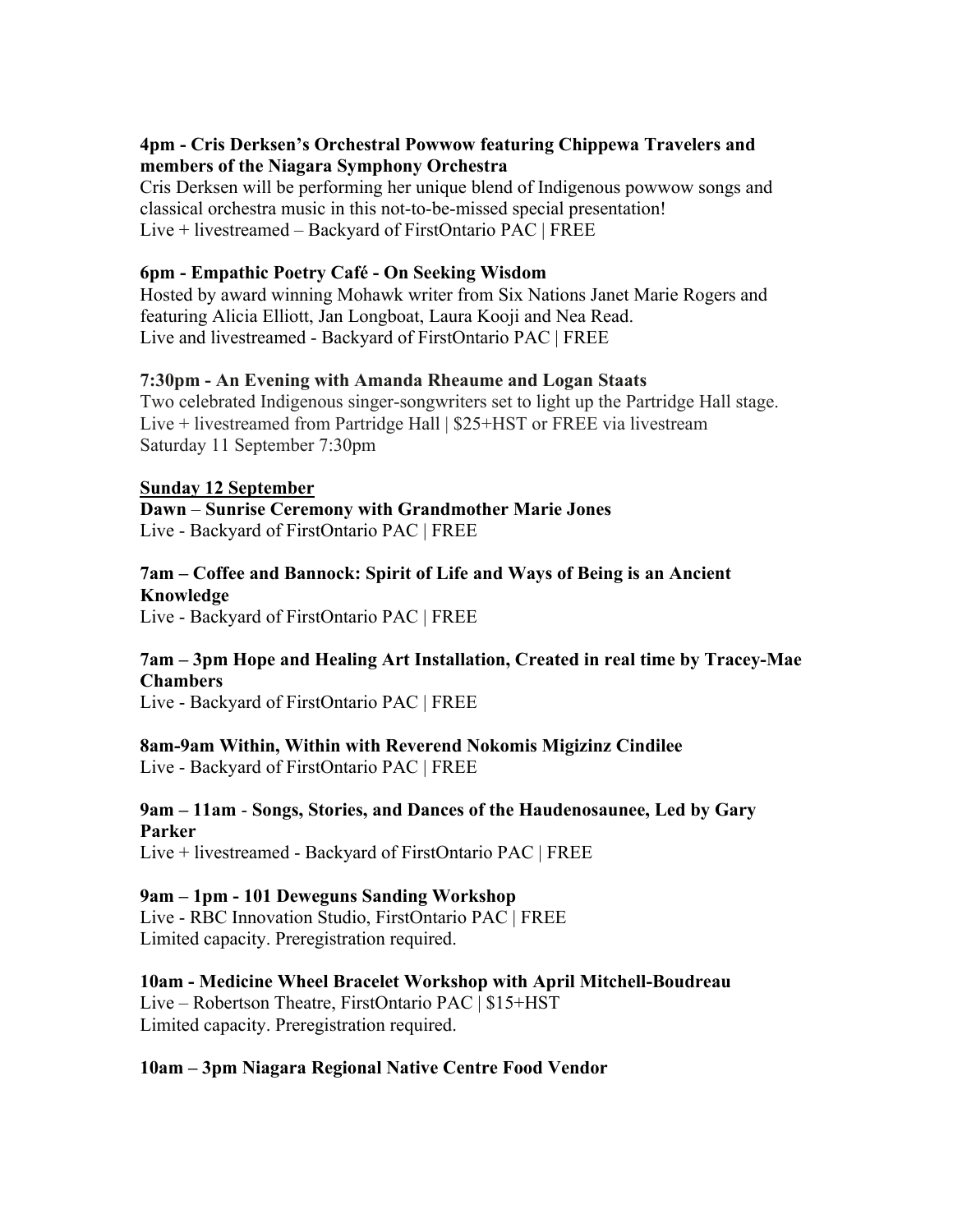# **4pm - Cris Derksen's Orchestral Powwow featuring Chippewa Travelers and members of the Niagara Symphony Orchestra**

Cris Derksen will be performing her unique blend of Indigenous powwow songs and classical orchestra music in this not-to-be-missed special presentation! Live + livestreamed – Backyard of FirstOntario PAC | FREE

#### **6pm - Empathic Poetry Café - On Seeking Wisdom**

Hosted by award winning Mohawk writer from Six Nations Janet Marie Rogers and featuring Alicia Elliott, Jan Longboat, Laura Kooji and Nea Read. Live and livestreamed - Backyard of FirstOntario PAC | FREE

#### **7:30pm - An Evening with Amanda Rheaume and Logan Staats**

Two celebrated Indigenous singer-songwriters set to light up the Partridge Hall stage. Live + livestreamed from Partridge Hall | \$25+HST or FREE via livestream Saturday 11 September 7:30pm

#### **Sunday 12 September**

**Dawn** – **Sunrise Ceremony with Grandmother Marie Jones** Live - Backyard of FirstOntario PAC | FREE

#### **7am – Coffee and Bannock: Spirit of Life and Ways of Being is an Ancient Knowledge**

Live - Backyard of FirstOntario PAC | FREE

#### **7am – 3pm Hope and Healing Art Installation, Created in real time by Tracey-Mae Chambers**

Live - Backyard of FirstOntario PAC | FREE

# **8am-9am Within, Within with Reverend Nokomis Migizinz Cindilee**

Live - Backyard of FirstOntario PAC | FREE

#### **9am – 11am** - **Songs, Stories, and Dances of the Haudenosaunee, Led by Gary Parker**

Live + livestreamed - Backyard of FirstOntario PAC | FREE

#### **9am – 1pm - 101 Deweguns Sanding Workshop**

Live - RBC Innovation Studio, FirstOntario PAC | FREE Limited capacity. Preregistration required.

**10am - Medicine Wheel Bracelet Workshop with April Mitchell-Boudreau** Live – Robertson Theatre, FirstOntario PAC | \$15+HST Limited capacity. Preregistration required.

# **10am – 3pm Niagara Regional Native Centre Food Vendor**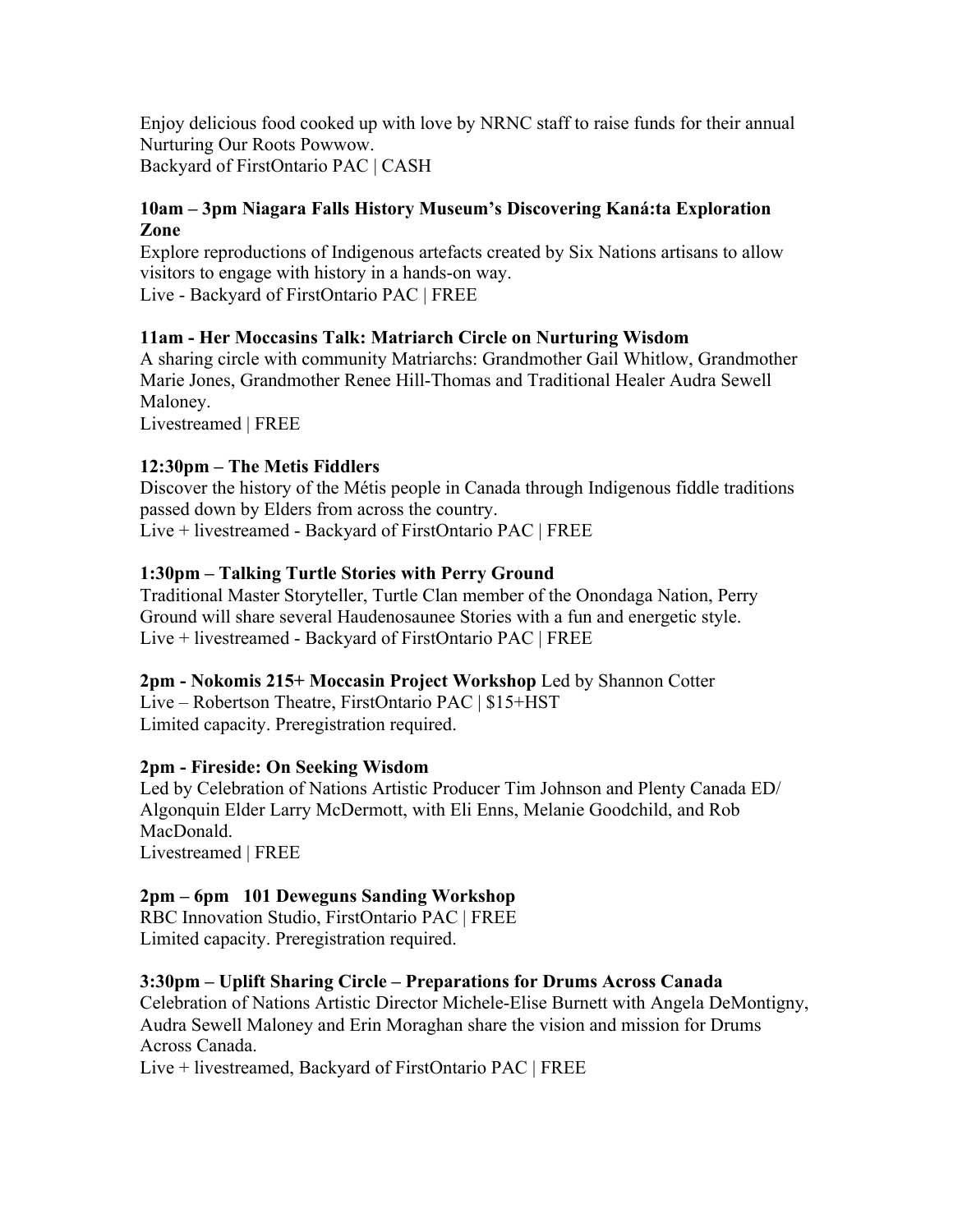Enjoy delicious food cooked up with love by NRNC staff to raise funds for their annual Nurturing Our Roots Powwow. Backyard of FirstOntario PAC | CASH

#### **10am – 3pm Niagara Falls History Museum's Discovering Kaná:ta Exploration Zone**

Explore reproductions of Indigenous artefacts created by Six Nations artisans to allow visitors to engage with history in a hands-on way.

Live - Backyard of FirstOntario PAC | FREE

# **11am - Her Moccasins Talk: Matriarch Circle on Nurturing Wisdom**

A sharing circle with community Matriarchs: Grandmother Gail Whitlow, Grandmother Marie Jones, Grandmother Renee Hill-Thomas and Traditional Healer Audra Sewell Maloney.

Livestreamed | FREE

# **12:30pm – The Metis Fiddlers**

Discover the history of the Métis people in Canada through Indigenous fiddle traditions passed down by Elders from across the country. Live + livestreamed - Backyard of FirstOntario PAC | FREE

# **1:30pm – Talking Turtle Stories with Perry Ground**

Traditional Master Storyteller, Turtle Clan member of the Onondaga Nation, Perry Ground will share several Haudenosaunee Stories with a fun and energetic style. Live + livestreamed - Backyard of FirstOntario PAC | FREE

# **2pm - Nokomis 215+ Moccasin Project Workshop** Led by Shannon Cotter

Live – Robertson Theatre, FirstOntario PAC | \$15+HST Limited capacity. Preregistration required.

# **2pm - Fireside: On Seeking Wisdom**

Led by Celebration of Nations Artistic Producer Tim Johnson and Plenty Canada ED/ Algonquin Elder Larry McDermott, with Eli Enns, Melanie Goodchild, and Rob MacDonald. Livestreamed | FREE

# **2pm – 6pm 101 Deweguns Sanding Workshop**

RBC Innovation Studio, FirstOntario PAC | FREE Limited capacity. Preregistration required.

# **3:30pm – Uplift Sharing Circle – Preparations for Drums Across Canada**

Celebration of Nations Artistic Director Michele-Elise Burnett with Angela DeMontigny, Audra Sewell Maloney and Erin Moraghan share the vision and mission for Drums Across Canada.

Live + livestreamed, Backyard of FirstOntario PAC | FREE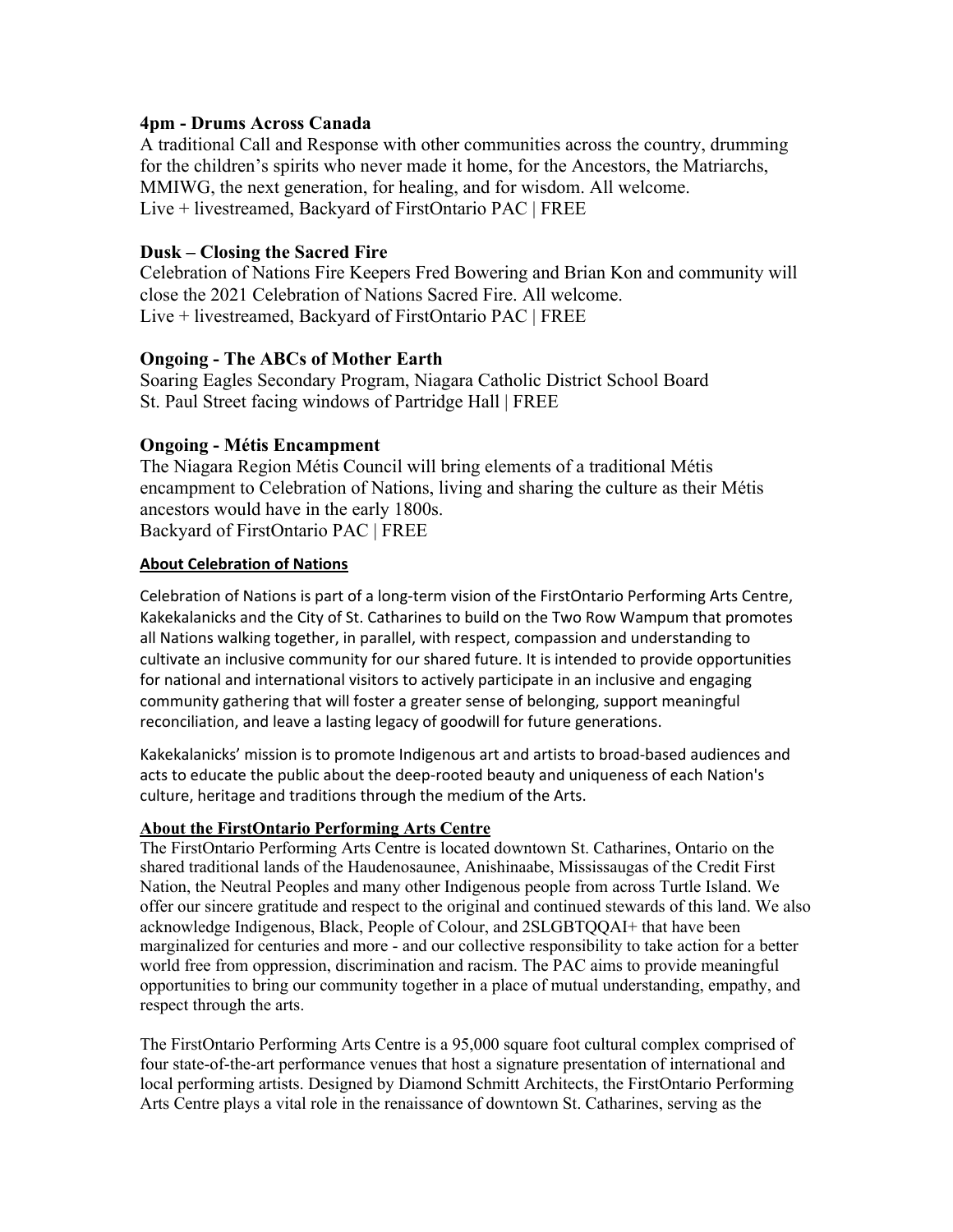#### **4pm - Drums Across Canada**

A traditional Call and Response with other communities across the country, drumming for the children's spirits who never made it home, for the Ancestors, the Matriarchs, MMIWG, the next generation, for healing, and for wisdom. All welcome. Live + livestreamed, Backyard of FirstOntario PAC | FREE

#### **Dusk – Closing the Sacred Fire**

Celebration of Nations Fire Keepers Fred Bowering and Brian Kon and community will close the 2021 Celebration of Nations Sacred Fire. All welcome. Live + livestreamed, Backyard of FirstOntario PAC | FREE

#### **Ongoing - The ABCs of Mother Earth**

Soaring Eagles Secondary Program, Niagara Catholic District School Board St. Paul Street facing windows of Partridge Hall | FREE

#### **Ongoing - Métis Encampment**

The Niagara Region Métis Council will bring elements of a traditional Métis encampment to Celebration of Nations, living and sharing the culture as their Métis ancestors would have in the early 1800s. Backyard of FirstOntario PAC | FREE

#### **About Celebration of Nations**

Celebration of Nations is part of a long-term vision of the FirstOntario Performing Arts Centre, Kakekalanicks and the City of St. Catharines to build on the Two Row Wampum that promotes all Nations walking together, in parallel, with respect, compassion and understanding to cultivate an inclusive community for our shared future. It is intended to provide opportunities for national and international visitors to actively participate in an inclusive and engaging community gathering that will foster a greater sense of belonging, support meaningful reconciliation, and leave a lasting legacy of goodwill for future generations.

Kakekalanicks' mission is to promote Indigenous art and artists to broad-based audiences and acts to educate the public about the deep-rooted beauty and uniqueness of each Nation's culture, heritage and traditions through the medium of the Arts.

#### **About the FirstOntario Performing Arts Centre**

The FirstOntario Performing Arts Centre is located downtown St. Catharines, Ontario on the shared traditional lands of the Haudenosaunee, Anishinaabe, Mississaugas of the Credit First Nation, the Neutral Peoples and many other Indigenous people from across Turtle Island. We offer our sincere gratitude and respect to the original and continued stewards of this land. We also acknowledge Indigenous, Black, People of Colour, and 2SLGBTQQAI+ that have been marginalized for centuries and more - and our collective responsibility to take action for a better world free from oppression, discrimination and racism. The PAC aims to provide meaningful opportunities to bring our community together in a place of mutual understanding, empathy, and respect through the arts.

The FirstOntario Performing Arts Centre is a 95,000 square foot cultural complex comprised of four state-of-the-art performance venues that host a signature presentation of international and local performing artists. Designed by Diamond Schmitt Architects, the FirstOntario Performing Arts Centre plays a vital role in the renaissance of downtown St. Catharines, serving as the